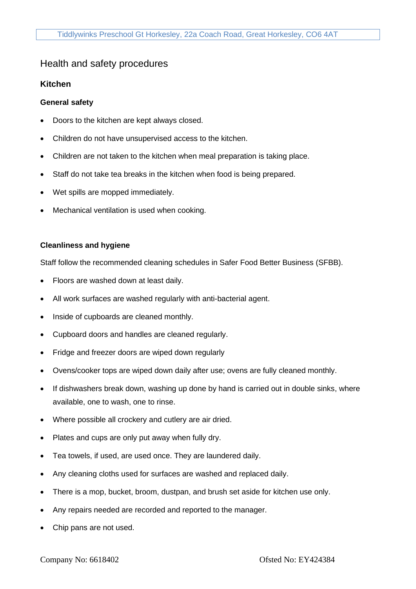## Health and safety procedures

### **Kitchen**

#### **General safety**

- Doors to the kitchen are kept always closed.
- Children do not have unsupervised access to the kitchen.
- Children are not taken to the kitchen when meal preparation is taking place.
- Staff do not take tea breaks in the kitchen when food is being prepared.
- Wet spills are mopped immediately.
- Mechanical ventilation is used when cooking.

#### **Cleanliness and hygiene**

Staff follow the recommended cleaning schedules in Safer Food Better Business (SFBB).

- Floors are washed down at least daily.
- All work surfaces are washed regularly with anti-bacterial agent.
- Inside of cupboards are cleaned monthly.
- Cupboard doors and handles are cleaned regularly.
- Fridge and freezer doors are wiped down regularly
- Ovens/cooker tops are wiped down daily after use; ovens are fully cleaned monthly.
- If dishwashers break down, washing up done by hand is carried out in double sinks, where available, one to wash, one to rinse.
- Where possible all crockery and cutlery are air dried.
- Plates and cups are only put away when fully dry.
- Tea towels, if used, are used once. They are laundered daily.
- Any cleaning cloths used for surfaces are washed and replaced daily.
- There is a mop, bucket, broom, dustpan, and brush set aside for kitchen use only.
- Any repairs needed are recorded and reported to the manager.
- Chip pans are not used.